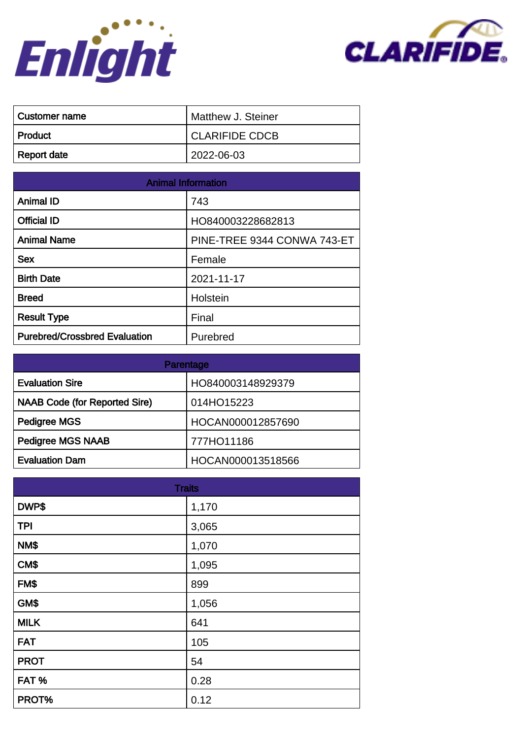



| ∣ Customer name | Matthew J. Steiner    |
|-----------------|-----------------------|
| ∣ Product       | <b>CLARIFIDE CDCB</b> |
| Report date     | 2022-06-03            |

| <b>Animal Information</b>            |                             |
|--------------------------------------|-----------------------------|
| <b>Animal ID</b>                     | 743                         |
| <b>Official ID</b>                   | HO840003228682813           |
| <b>Animal Name</b>                   | PINE-TREE 9344 CONWA 743-ET |
| <b>Sex</b>                           | Female                      |
| <b>Birth Date</b>                    | 2021-11-17                  |
| <b>Breed</b>                         | Holstein                    |
| <b>Result Type</b>                   | Final                       |
| <b>Purebred/Crossbred Evaluation</b> | Purebred                    |

| Parentage                            |                   |
|--------------------------------------|-------------------|
| <b>Evaluation Sire</b>               | HO840003148929379 |
| <b>NAAB Code (for Reported Sire)</b> | 014HO15223        |
| Pedigree MGS                         | HOCAN000012857690 |
| <b>Pedigree MGS NAAB</b>             | 777HO11186        |
| <b>Evaluation Dam</b>                | HOCAN000013518566 |

| <b>Traits</b> |       |
|---------------|-------|
| DWP\$         | 1,170 |
| <b>TPI</b>    | 3,065 |
| NM\$          | 1,070 |
| CM\$          | 1,095 |
| FM\$          | 899   |
| GM\$          | 1,056 |
| <b>MILK</b>   | 641   |
| <b>FAT</b>    | 105   |
| <b>PROT</b>   | 54    |
| FAT%          | 0.28  |
| PROT%         | 0.12  |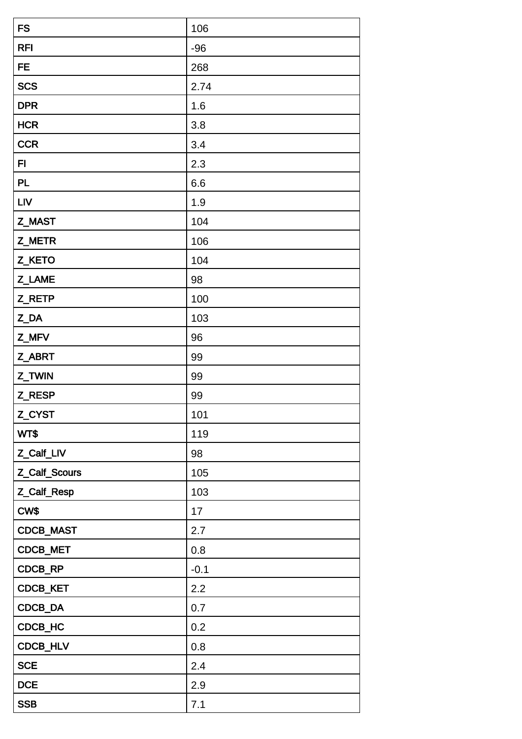| <b>FS</b>     | 106    |
|---------------|--------|
| <b>RFI</b>    | $-96$  |
| <b>FE</b>     | 268    |
| <b>SCS</b>    | 2.74   |
| <b>DPR</b>    | 1.6    |
| <b>HCR</b>    | 3.8    |
| <b>CCR</b>    | 3.4    |
| FI            | 2.3    |
| PL            | 6.6    |
| <b>LIV</b>    | 1.9    |
| Z_MAST        | 104    |
| Z_METR        | 106    |
| Z_KETO        | 104    |
| Z_LAME        | 98     |
| Z_RETP        | 100    |
| Z_DA          | 103    |
| Z_MFV         | 96     |
| Z_ABRT        | 99     |
| Z_TWIN        | 99     |
| Z_RESP        | 99     |
| Z_CYST        | 101    |
| WT\$          | 119    |
| Z_Calf_LIV    | 98     |
| Z_Calf_Scours | 105    |
| Z_Calf_Resp   | 103    |
| CW\$          | 17     |
| CDCB_MAST     | 2.7    |
| CDCB_MET      | 0.8    |
| CDCB_RP       | $-0.1$ |
| CDCB_KET      | 2.2    |
| CDCB_DA       | 0.7    |
| CDCB_HC       | 0.2    |
| CDCB_HLV      | 0.8    |
| <b>SCE</b>    | 2.4    |
| <b>DCE</b>    | 2.9    |
| <b>SSB</b>    | 7.1    |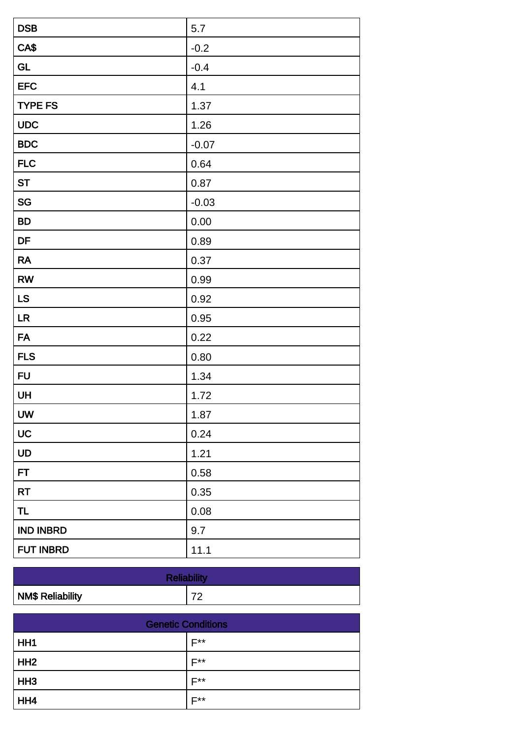| <b>DSB</b>       | 5.7     |
|------------------|---------|
| CA\$             | $-0.2$  |
| <b>GL</b>        | $-0.4$  |
| <b>EFC</b>       | 4.1     |
| <b>TYPE FS</b>   | 1.37    |
| <b>UDC</b>       | 1.26    |
| <b>BDC</b>       | $-0.07$ |
| <b>FLC</b>       | 0.64    |
| <b>ST</b>        | 0.87    |
| SG               | $-0.03$ |
| <b>BD</b>        | 0.00    |
| DF               | 0.89    |
| <b>RA</b>        | 0.37    |
| <b>RW</b>        | 0.99    |
| LS               | 0.92    |
| LR               | 0.95    |
| <b>FA</b>        | 0.22    |
| <b>FLS</b>       | 0.80    |
| <b>FU</b>        | 1.34    |
| UH               | 1.72    |
| <b>UW</b>        | 1.87    |
| UC               | 0.24    |
| UD               | 1.21    |
| FT               | 0.58    |
| <b>RT</b>        | 0.35    |
| <b>TL</b>        | 0.08    |
| <b>IND INBRD</b> | 9.7     |
| <b>FUT INBRD</b> | 11.1    |

| <b>Reliability</b>      |    |
|-------------------------|----|
| <b>NM\$ Reliability</b> | ⇁⌒ |

| <b>Genetic Conditions</b> |                  |
|---------------------------|------------------|
| HH <sub>1</sub>           | $F^{\star\star}$ |
| HH2                       | <b>E**</b>       |
| HH <sub>3</sub>           | $F^{\star\star}$ |
| HH4                       | <b>E**</b>       |